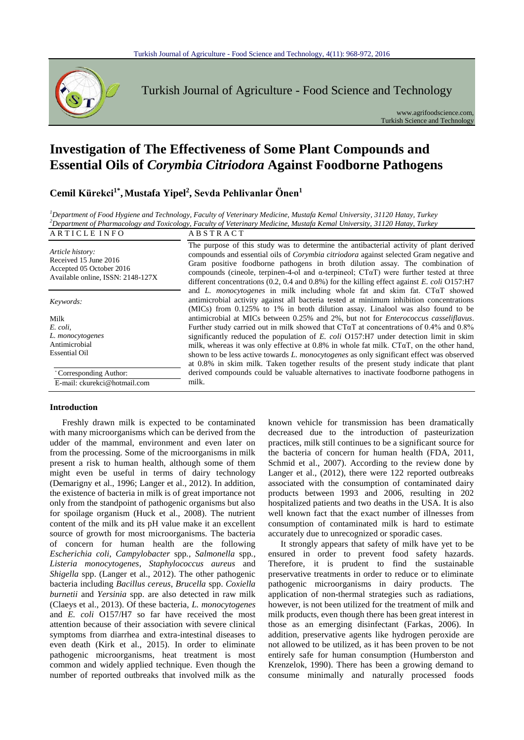

Turkish Journal of Agriculture - Food Science and Technology

www.agrifoodscience.com, Turkish Science and Technology

# **Investigation of The Effectiveness of Some Plant Compounds and Essential Oils of** *Corymbia Citriodora* **Against Foodborne Pathogens**

**Cemil Kürekci1\* ,Mustafa Yipel<sup>2</sup> , Sevda Pehlivanlar Önen<sup>1</sup>**

*<sup>1</sup>Department of Food Hygiene and Technology, Faculty of Veterinary Medicine, Mustafa Kemal University, 31120 Hatay, Turkey <sup>2</sup>Department of Pharmacology and Toxicology, Faculty of Veterinary Medicine, Mustafa Kemal University, 31120 Hatay, Turkey*

#### ARTICLE INFO ABSTRACT *Article history:* Received 15 June 2016 Accepted 05 October 2016 Available online, ISSN: 2148-127X The purpose of this study was to determine the antibacterial activity of plant derived compounds and essential oils of *Corymbia citriodora* against selected Gram negative and Gram positive foodborne pathogens in broth dilution assay. The combination of compounds (cineole, terpinen-4-ol and α-terpineol; CTαT) were further tested at three different concentrations (0.2, 0.4 and 0.8%) for the killing effect against *E. coli* O157:H7 and *L. monocytogenes* in milk including whole fat and skim fat. CTαT showed antimicrobial activity against all bacteria tested at minimum inhibition concentrations (MICs) from 0.125% to 1% in broth dilution assay. Linalool was also found to be antimicrobial at MICs between 0.25% and 2%, but not for *Enterococcus casseliflavus*. Further study carried out in milk showed that  $CTaT$  at concentrations of 0.4% and 0.8% significantly reduced the population of *E. coli* O157:H7 under detection limit in skim milk, whereas it was only effective at 0.8% in whole fat milk.  $CT\alpha T$ , on the other hand, shown to be less active towards *L. monocytogenes* as only significant effect was observed at 0.8% in skim milk. Taken together results of the present study indicate that plant derived compounds could be valuable alternatives to inactivate foodborne pathogens in milk. *Keywords:* Milk *E. coli, L. monocytogenes* Antimicrobial Essential Oil \* Corresponding Author: E-mail: ckurekci@hotmail.com

# **Introduction**

Freshly drawn milk is expected to be contaminated with many microorganisms which can be derived from the udder of the mammal, environment and even later on from the processing. Some of the microorganisms in milk present a risk to human health, although some of them might even be useful in terms of dairy technology (Demarigny et al., 1996; Langer et al., 2012). In addition, the existence of bacteria in milk is of great importance not only from the standpoint of pathogenic organisms but also for spoilage organism (Huck et al., 2008). The nutrient content of the milk and its pH value make it an excellent source of growth for most microorganisms. The bacteria of concern for human health are the following *Escherichia coli*, *Campylobacter* spp*., Salmonella* spp*.*, *Listeria monocytogenes*, *Staphylococcus aureus* and *Shigella* spp. (Langer et al., 2012). The other pathogenic bacteria including *Bacillus cereus*, *Brucella* spp. *Coxiella burnetii* and *Yersinia* spp. are also detected in raw milk (Claeys et al., 2013). Of these bacteria, *L. monocytogenes* and *E. coli* O157/H7 so far have received the most attention because of their association with severe clinical symptoms from diarrhea and extra-intestinal diseases to even death (Kirk et al., 2015). In order to eliminate pathogenic microorganisms, heat treatment is most common and widely applied technique. Even though the number of reported outbreaks that involved milk as the known vehicle for transmission has been dramatically decreased due to the introduction of pasteurization practices, milk still continues to be a significant source for the bacteria of concern for human health (FDA, 2011, Schmid et al., 2007). According to the review done by Langer et al., (2012), there were 122 reported outbreaks associated with the consumption of contaminated dairy products between 1993 and 2006, resulting in 202 hospitalized patients and two deaths in the USA. It is also well known fact that the exact number of illnesses from consumption of contaminated milk is hard to estimate accurately due to unrecognized or sporadic cases.

It strongly appears that safety of milk have yet to be ensured in order to prevent food safety hazards. Therefore, it is prudent to find the sustainable preservative treatments in order to reduce or to eliminate pathogenic microorganisms in dairy products. The application of non-thermal strategies such as radiations, however, is not been utilized for the treatment of milk and milk products, even though there has been great interest in those as an emerging disinfectant (Farkas, 2006). In addition, preservative agents like hydrogen peroxide are not allowed to be utilized, as it has been proven to be not entirely safe for human consumption (Humberston and Krenzelok, 1990). There has been a growing demand to consume minimally and naturally processed foods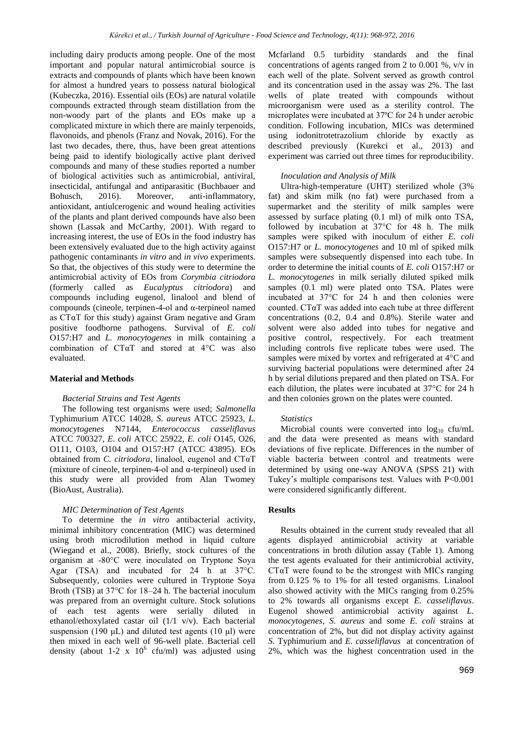including dairy products among people. One of the most important and popular natural antimicrobial source is extracts and compounds of plants which have been known for almost a hundred years to possess natural biological (Kubeczka, 2016). Essential oils (EOs) are natural volatile compounds extracted through steam distillation from the non-woody part of the plants and EOs make up a complicated mixture in which there are mainly terpenoids, flavonoids, and phenols (Franz and Novak, 2016). For the last two decades, there, thus, have been great attentions being paid to identify biologically active plant derived compounds and many of these studies reported a number of biological activities such as antimicrobial, antiviral, insecticidal, antifungal and antiparasitic (Buchbauer and Bohusch, 2016). Moreover, anti-inflammatory, antioxidant, antiulcerogenic and wound healing activities of the plants and plant derived compounds have also been shown (Lassak and McCarthy, 2001). With regard to increasing interest, the use of EOs in the food industry has been extensively evaluated due to the high activity against pathogenic contaminants *in vitro* and *in vivo* experiments. So that, the objectives of this study were to determine the antimicrobial activity of EOs from *Corymbia citriodora* (formerly called as *Eucalyptus citriodora*) and compounds including eugenol, linalool and blend of compounds (cineole, terpinen-4-ol and α-terpineol named as CTαT for this study) against Gram negative and Gram positive foodborne pathogens. Survival of *E. coli* O157:H7 and *L. monocytogenes* in milk containing a combination of CTαT and stored at 4°C was also evaluated.

# **Material and Methods**

# *Bacterial Strains and Test Agents*

The following test organisms were used; *Salmonella*  Typhimurium ATCC 14028, *S. aureus* ATCC 25923, *L. monocytogenes* N7144, *Enterococcus casseliflavus* ATCC 700327, *E. coli* ATCC 25922, *E. coli* O145, O26, O111, O103, O104 and O157:H7 (ATCC 43895). EOs obtained from *C. citriodora*, linalool, eugenol and CTαT (mixture of cineole, terpinen-4-ol and α-terpineol) used in this study were all provided from Alan Twomey (BioAust, Australia).

# *MIC Determination of Test Agents*

To determine the *in vitro* antibacterial activity, minimal inhibitory concentration (MIC) was determined using broth microdilution method in liquid culture (Wiegand et al., 2008). Briefly, stock cultures of the organism at -80°C were inoculated on Tryptone Soya Agar (TSA) and incubated for 24 h at 37°C. Subsequently, colonies were cultured in Tryptone Soya Broth (TSB) at 37°C for 18–24 h. The bacterial inoculum was prepared from an overnight culture. Stock solutions of each test agents were serially diluted in ethanol/ethoxylated castar oil (1/1 v/v). Each bacterial suspension (190  $\mu$ L) and diluted test agents (10  $\mu$ l) were then mixed in each well of 96-well plate. Bacterial cell density (about 1-2 x  $10^6$  cfu/ml) was adjusted using

Mcfarland 0.5 turbidity standards and the final concentrations of agents ranged from 2 to 0.001 %, v/v in each well of the plate. Solvent served as growth control and its concentration used in the assay was 2%. The last wells of plate treated with compounds without microorganism were used as a sterility control. The microplates were incubated at 37ºC for 24 h under aerobic condition. Following incubation, MICs was determined using iodonitrotetrazolium chloride by exactly as described previously (Kurekci et al., 2013) and experiment was carried out three times for reproducibility.

### *Inoculation and Analysis of Milk*

Ultra-high-temperature (UHT) sterilized whole (3% fat) and skim milk (no fat) were purchased from a supermarket and the sterility of milk samples were assessed by surface plating (0.1 ml) of milk onto TSA, followed by incubation at 37°C for 48 h. The milk samples were spiked with inoculum of either *E. coli*  O157:H7 or *L. monocytogenes* and 10 ml of spiked milk samples were subsequently dispensed into each tube. In order to determine the initial counts of *E. coli* O157:H7 or *L. monocytogenes* in milk serially diluted spiked milk samples (0.1 ml) were plated onto TSA. Plates were incubated at 37°C for 24 h and then colonies were counted. CTαT was added into each tube at three different concentrations (0.2, 0.4 and 0.8%). Sterile water and solvent were also added into tubes for negative and positive control, respectively. For each treatment including controls five replicate tubes were used. The samples were mixed by vortex and refrigerated at 4°C and surviving bacterial populations were determined after 24 h by serial dilutions prepared and then plated on TSA. For each dilution, the plates were incubated at 37°C for 24 h and then colonies grown on the plates were counted.

#### *Statistics*

Microbial counts were converted into  $log_{10}$  cfu/mL and the data were presented as means with standard deviations of five replicate. Differences in the number of viable bacteria between control and treatments were determined by using one-way ANOVA (SPSS 21) with Tukey's multiple comparisons test. Values with P<0.001 were considered significantly different.

#### **Results**

Results obtained in the current study revealed that all agents displayed antimicrobial activity at variable concentrations in broth dilution assay (Table 1). Among the test agents evaluated for their antimicrobial activity, CTαT were found to be the strongest with MICs ranging from 0.125 % to 1% for all tested organisms. Linalool also showed activity with the MICs ranging from 0.25% to 2% towards all organisms except *E. casseliflavus*. Eugenol showed antimicrobial activity against *L. monocytogenes*, *S. aureus* and some *E. coli* strains at concentration of 2%, but did not display activity against *S.* Typhimurium and *E. casseliflavus* at concentration of 2%, which was the highest concentration used in the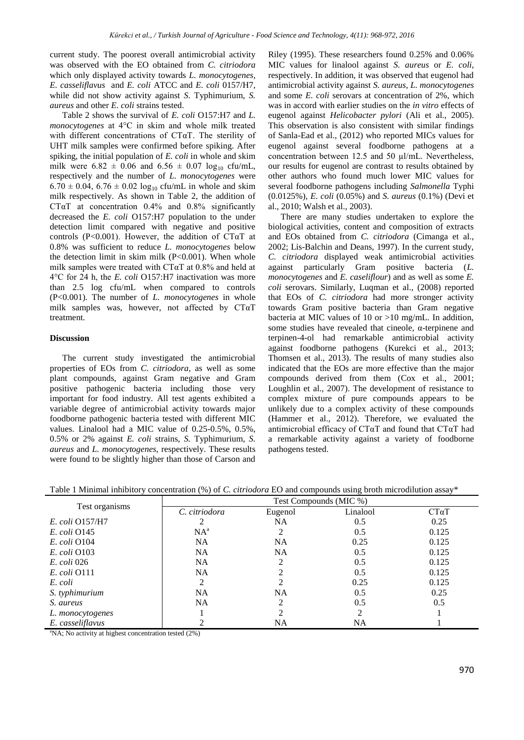current study. The poorest overall antimicrobial activity was observed with the EO obtained from *C. citriodora* which only displayed activity towards *L. monocytogenes*, *E. casseliflavus* and *E. coli* ATCC and *E. coli* 0157/H7, while did not show activity against *S*. Typhimurium, *S. aureus* and other *E. coli* strains tested.

Table 2 shows the survival of *E. coli* O157:H7 and *L. monocytogenes* at 4°C in skim and whole milk treated with different concentrations of  $CT\alpha T$ . The sterility of UHT milk samples were confirmed before spiking. After spiking, the initial population of *E. coli* in whole and skim milk were  $6.82 \pm 0.06$  and  $6.56 \pm 0.07$  log<sub>10</sub> cfu/mL, respectively and the number of *L. monocytogenes* were  $6.70 \pm 0.04$ ,  $6.76 \pm 0.02$  log<sub>10</sub> cfu/mL in whole and skim milk respectively. As shown in Table 2, the addition of CT $\alpha$ T at concentration 0.4% and 0.8% significantly decreased the *E. coli* O157:H7 population to the under detection limit compared with negative and positive controls (P<0.001). However, the addition of CT $\alpha$ T at 0.8% was sufficient to reduce *L. monocytogenes* below the detection limit in skim milk  $(P<0.001)$ . When whole milk samples were treated with CTαT at 0.8% and held at 4°C for 24 h, the *E. coli* O157:H7 inactivation was more than 2.5 log cfu/mL when compared to controls (P<0.001). The number of *L. monocytogenes* in whole milk samples was, however, not affected by CTαT treatment.

# **Discussion**

The current study investigated the antimicrobial properties of EOs from *C. citriodora*, as well as some plant compounds, against Gram negative and Gram positive pathogenic bacteria including those very important for food industry. All test agents exhibited a variable degree of antimicrobial activity towards major foodborne pathogenic bacteria tested with different MIC values. Linalool had a MIC value of 0.25-0.5%, 0.5%, 0.5% or 2% against *E. coli* strains, *S.* Typhimurium, *S. aureus* and *L. monocytogenes*, respectively. These results were found to be slightly higher than those of Carson and

Riley (1995). These researchers found 0.25% and 0.06% MIC values for linalool against *S. aureus* or *E. coli*, respectively. In addition, it was observed that eugenol had antimicrobial activity against *S. aureus*, *L. monocytogenes* and some *E. coli* serovars at concentration of 2%, which was in accord with earlier studies on the *in vitro* effects of eugenol against *Helicobacter pylori* (Ali et al., 2005). This observation is also consistent with similar findings of Sanla-Ead et al., (2012) who reported MICs values for eugenol against several foodborne pathogens at a concentration between 12.5 and 50 µl/mL. Nevertheless, our results for eugenol are contrast to results obtained by other authors who found much lower MIC values for several foodborne pathogens including *Salmonella* Typhi (0.0125%), *E. coli* (0.05%) and *S. aureus* (0.1%) (Devi et al., 2010; Walsh et al., 2003).

There are many studies undertaken to explore the biological activities, content and composition of extracts and EOs obtained from *C. citriodora* (Cimanga et al., 2002; Lis-Balchin and Deans, 1997). In the current study, *C. citriodora* displayed weak antimicrobial activities against particularly Gram positive bacteria (*L. monocytogenes* and *E. caseliflour*) and as well as some *E. coli* serovars. Similarly, Luqman et al., (2008) reported that EOs of *C. citriodora* had more stronger activity towards Gram positive bacteria than Gram negative bacteria at MIC values of 10 or >10 mg/mL. In addition, some studies have revealed that cineole,  $\alpha$ -terpinene and terpinen-4-ol had remarkable antimicrobial activity against foodborne pathogens (Kurekci et al., 2013; Thomsen et al., 2013). The results of many studies also indicated that the EOs are more effective than the major compounds derived from them (Cox et al., 2001; Loughlin et al., 2007). The development of resistance to complex mixture of pure compounds appears to be unlikely due to a complex activity of these compounds (Hammer et al., 2012). Therefore, we evaluated the antimicrobial efficacy of CTαT and found that CTαT had a remarkable activity against a variety of foodborne pathogens tested.

Table 1 Minimal inhibitory concentration (%) of *C. citriodora* EO and compounds using broth microdilution assay\*

| Test organisms      | Test Compounds (MIC %) |                |          |              |  |
|---------------------|------------------------|----------------|----------|--------------|--|
|                     | C. citriodora          | Eugenol        | Linalool | $CT\alpha T$ |  |
| E. coli O157/H7     |                        | <b>NA</b>      | 0.5      | 0.25         |  |
| $E.$ coli $O145$    | $NA^a$                 | 2              | 0.5      | 0.125        |  |
| <i>E. coli</i> O104 | <b>NA</b>              | <b>NA</b>      | 0.25     | 0.125        |  |
| $E.$ coli $O103$    | <b>NA</b>              | <b>NA</b>      | 0.5      | 0.125        |  |
| <i>E. coli</i> 026  | <b>NA</b>              |                | 0.5      | 0.125        |  |
| <i>E. coli</i> 0111 | <b>NA</b>              |                | 0.5      | 0.125        |  |
| E. coli             | 2                      | 2              | 0.25     | 0.125        |  |
| S. typhimurium      | <b>NA</b>              | NA             | 0.5      | 0.25         |  |
| S. aureus           | <b>NA</b>              | $\mathfrak{D}$ | 0.5      | 0.5          |  |
| L. monocytogenes    |                        |                | 2        |              |  |
| E. casseliflavus    |                        | NA             | NA       |              |  |

<sup>a</sup>NA; No activity at highest concentration tested (2%)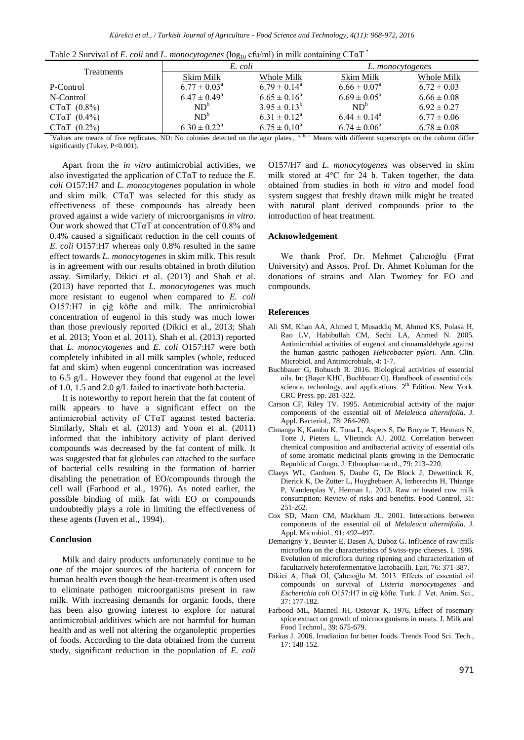| Table 2 Survival of E. coli and L. monocytogenes ( $log_{10}$ cfu/ml) in milk containing CT $\alpha$ T <sup>*</sup> |
|---------------------------------------------------------------------------------------------------------------------|
|---------------------------------------------------------------------------------------------------------------------|

| <b>Treatments</b>   | E. coli                    |                            | L. monocytogenes           |                 |  |  |
|---------------------|----------------------------|----------------------------|----------------------------|-----------------|--|--|
|                     | Skim Milk                  | Whole Milk                 | Skim Milk                  | Whole Milk      |  |  |
| P-Control           | $6.77 \pm 0.03^{\text{a}}$ | $6.79 \pm 0.14^{\circ}$    | $6.66 \pm 0.07^{\rm a}$    | $6.72 \pm 0.03$ |  |  |
| N-Control           | $6.47 \pm 0.49^{\rm a}$    | $6.65 \pm 0.16^a$          | $6.69 \pm 0.05^{\text{a}}$ | $6.66 \pm 0.08$ |  |  |
| $CT\alpha T$ (0.8%) | $ND^b$                     | $3.95 \pm 0.13^b$          | $ND^b$                     | $6.92 \pm 0.27$ |  |  |
| $CT\alpha T$ (0.4%) | $ND^b$                     | $6.31 \pm 0.12^{\text{a}}$ | $6.44 \pm 0.14^{\circ}$    | $6.77 \pm 0.06$ |  |  |
| CTaT (0.2%)         | $6.30 \pm 0.22^{\text{a}}$ | $6.75 \pm 0.10^a$          | $6.74 \pm 0.06^{\circ}$    | $6.78 \pm 0.08$ |  |  |
|                     |                            |                            |                            |                 |  |  |

\*Values are means of five replicates. ND: No colonies detected on the agar plates., <sup>a, b, c</sup> Means with different superscripts on the column differ significantly (Tukey, P<0.001).

Apart from the *in vitro* antimicrobial activities, we also investigated the application of CTαT to reduce the *E. coli* O157:H7 and *L. monocytogenes* population in whole and skim milk. CTαT was selected for this study as effectiveness of these compounds has already been proved against a wide variety of microorganisms *in vitro*. Our work showed that  $CT\alpha T$  at concentration of 0.8% and 0.4% caused a significant reduction in the cell counts of *E. coli* O157:H7 whereas only 0.8% resulted in the same effect towards *L. monocytogenes* in skim milk. This result is in agreement with our results obtained in broth dilution assay. Similarly, Dikici et al. (2013) and Shah et al. (2013) have reported that *L. monocytogenes* was much more resistant to eugenol when compared to *E. coli* O157:H7 in çiğ köfte and milk. The antimicrobial concentration of eugenol in this study was much lower than those previously reported (Dikici et al., 2013; Shah et al. 2013; Yoon et al. 2011). Shah et al. (2013) reported that *L. monocytogenes* and *E. coli* O157:H7 were both completely inhibited in all milk samples (whole, reduced fat and skim) when eugenol concentration was increased to 6.5 g/L. However they found that eugenol at the level of 1.0, 1.5 and 2.0 g/L failed to inactivate both bacteria.

It is noteworthy to report herein that the fat content of milk appears to have a significant effect on the antimicrobial activity of CTαT against tested bacteria. Similarly, Shah et al. (2013) and Yoon et al. (2011) informed that the inhibitory activity of plant derived compounds was decreased by the fat content of milk. It was suggested that fat globules can attached to the surface of bacterial cells resulting in the formation of barrier disabling the penetration of EO/compounds through the cell wall (Farbood et al., 1976). As noted earlier, the possible binding of milk fat with EO or compounds undoubtedly plays a role in limiting the effectiveness of these agents (Juven et al., 1994).

#### **Conclusion**

Milk and dairy products unfortunately continue to be one of the major sources of the bacteria of concern for human health even though the heat-treatment is often used to eliminate pathogen microorganisms present in raw milk. With increasing demands for organic foods, there has been also growing interest to explore for natural antimicrobial additives which are not harmful for human health and as well not altering the organoleptic properties of foods. According to the data obtained from the current study, significant reduction in the population of *E. coli* O157/H7 and *L. monocytogenes* was observed in skim milk stored at 4°C for 24 h. Taken together, the data obtained from studies in both *in vitro* and model food system suggest that freshly drawn milk might be treated with natural plant derived compounds prior to the introduction of heat treatment.

### **Acknowledgement**

We thank Prof. Dr. Mehmet Çalıcıoğlu (Fırat University) and Assos. Prof. Dr. Ahmet Koluman for the donations of strains and Alan Twomey for EO and compounds.

#### **References**

- Ali SM, Khan AA, Ahmed I, Musaddiq M, Ahmed KS, Polasa H, Rao LV, Habibullah CM, Sechi LA, Ahmed N. 2005. Antimicrobial activities of eugenol and cinnamaldehyde against the human gastric pathogen *Helicobacter pylori.* Ann. Clin. Microbiol. and Antimicrobials, 4: 1-7.
- Buchbauer G, Bohusch R. 2016. Biological activities of essential oils. In: (Başer KHC, Buchbauer G). Handbook of essential oils: science, technology, and applications.  $2<sup>th</sup>$  Edition. New York. CRC Press. pp. 281-322.
- Carson CF, Riley TV. 1995. Antimicrobial activity of the major components of the essential oiI of *Melaleuca alternifolia*. J. Appl. Bacteriol., 78: 264-269.
- Cimanga K, Kambu K, Tona L, Aspers S, De Bruyne T, Hemans N, Totte J, Pieters L, Vlietinck AJ. 2002. Correlation between chemical composition and antibacterial activity of essential oils of some aromatic medicinal plants growing in the Democratic Republic of Congo. J. Ethnopharmacol., 79: 213–220.
- Claeys WL, Cardoen S, Daube G, De Block J, Dewettinck K, Dierick K, De Zutter L, Huyghebaert A, Imberechts H, Thiange P, Vandenplas Y, Herman L. 2013. Raw or heated cow milk consumption: Review of risks and benefits. Food Control, 31: 251-262.
- Cox SD, Mann CM, Markham JL. 2001. Interactions between components of the essential oil of *Melaleuca alternifolia*. J. Appl. Microbiol., 91: 492–497.
- Demarigny Y, Beuvier E, Dasen A, Duboz G. Influence of raw milk microflora on the characteristics of Swiss-type cheeses. I. 1996. Evolution of microflora during ripening and characterization of facultatively heterofermentative lactobacilli. Lait, 76: 371-387.
- Dikici A, İlhak Oİ, Çalıcıoğlu M. 2013. Effects of essential oil compounds on survival of *Listeria monocytogenes* and *Escherichia coli* O157:H7 in çiğ köfte. Turk. J. Vet. Anim. Sci., 37: 177-182.
- Farbood ML, Macneil JH, Ostovar K. 1976. Effect of rosemary spice extract on growth of microorganisms in meats. J. Milk and Food Technol., 39: 675-679.
- Farkas J. 2006. Irradiation for better foods. Trends Food Sci. Tech.,  $17:148-152$ .